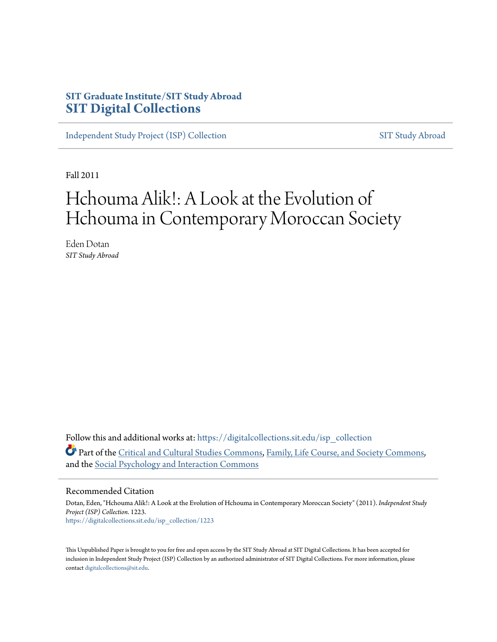## **SIT Graduate Institute/SIT Study Abroad [SIT Digital Collections](https://digitalcollections.sit.edu?utm_source=digitalcollections.sit.edu%2Fisp_collection%2F1223&utm_medium=PDF&utm_campaign=PDFCoverPages)**

[Independent Study Project \(ISP\) Collection](https://digitalcollections.sit.edu/isp_collection?utm_source=digitalcollections.sit.edu%2Fisp_collection%2F1223&utm_medium=PDF&utm_campaign=PDFCoverPages) [SIT Study Abroad](https://digitalcollections.sit.edu/study_abroad?utm_source=digitalcollections.sit.edu%2Fisp_collection%2F1223&utm_medium=PDF&utm_campaign=PDFCoverPages)

Fall 2011

# Hchouma Alik!: A Look at the Evolution of Hchouma in Contemporary Moroccan Society

Eden Dotan *SIT Study Abroad*

Follow this and additional works at: [https://digitalcollections.sit.edu/isp\\_collection](https://digitalcollections.sit.edu/isp_collection?utm_source=digitalcollections.sit.edu%2Fisp_collection%2F1223&utm_medium=PDF&utm_campaign=PDFCoverPages) Part of the [Critical and Cultural Studies Commons](http://network.bepress.com/hgg/discipline/328?utm_source=digitalcollections.sit.edu%2Fisp_collection%2F1223&utm_medium=PDF&utm_campaign=PDFCoverPages), [Family, Life Course, and Society Commons,](http://network.bepress.com/hgg/discipline/419?utm_source=digitalcollections.sit.edu%2Fisp_collection%2F1223&utm_medium=PDF&utm_campaign=PDFCoverPages) and the [Social Psychology and Interaction Commons](http://network.bepress.com/hgg/discipline/430?utm_source=digitalcollections.sit.edu%2Fisp_collection%2F1223&utm_medium=PDF&utm_campaign=PDFCoverPages)

#### Recommended Citation

Dotan, Eden, "Hchouma Alik!: A Look at the Evolution of Hchouma in Contemporary Moroccan Society" (2011). *Independent Study Project (ISP) Collection*. 1223. [https://digitalcollections.sit.edu/isp\\_collection/1223](https://digitalcollections.sit.edu/isp_collection/1223?utm_source=digitalcollections.sit.edu%2Fisp_collection%2F1223&utm_medium=PDF&utm_campaign=PDFCoverPages)

This Unpublished Paper is brought to you for free and open access by the SIT Study Abroad at SIT Digital Collections. It has been accepted for inclusion in Independent Study Project (ISP) Collection by an authorized administrator of SIT Digital Collections. For more information, please contact [digitalcollections@sit.edu](mailto:digitalcollections@sit.edu).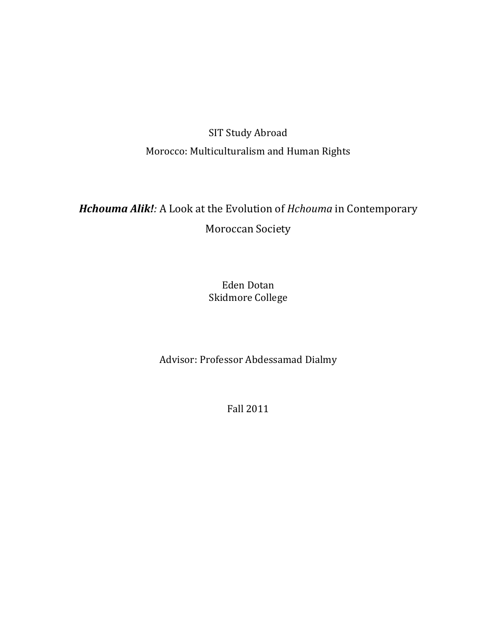## SIT Study Abroad Morocco: Multiculturalism and Human Rights

# Hchouma Alik!: A Look at the Evolution of Hchouma in Contemporary Moroccan Society

## Eden Dotan Skidmore College

Advisor: Professor Abdessamad Dialmy

Fall 2011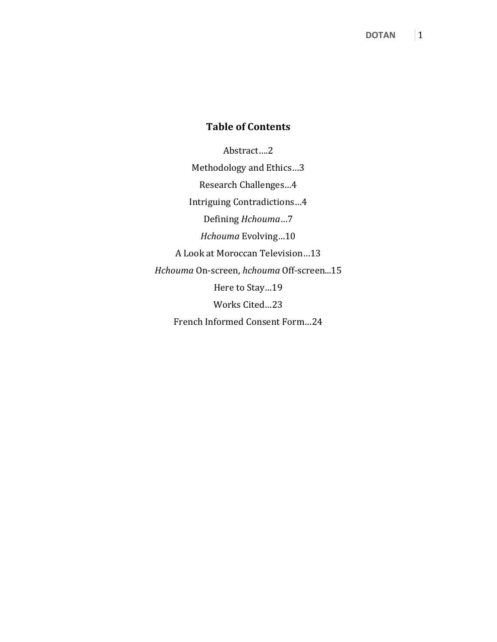## Table of Contents

Abstract….2 Methodology and Ethics…3 Research Challenges…4 Intriguing Contradictions…4 Defining Hchouma…7 Hchouma Evolving…10 A Look at Moroccan Television…13 Hchouma On-screen, hchouma Off-screen...15 Here to Stay…19 Works Cited…23 French Informed Consent Form…24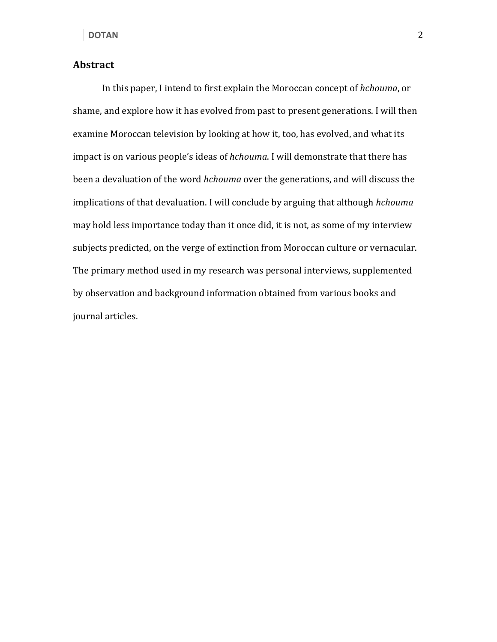#### Abstract

In this paper, I intend to first explain the Moroccan concept of hchouma, or shame, and explore how it has evolved from past to present generations. I will then examine Moroccan television by looking at how it, too, has evolved, and what its impact is on various people's ideas of hchouma. I will demonstrate that there has been a devaluation of the word hchouma over the generations, and will discuss the implications of that devaluation. I will conclude by arguing that although hchouma may hold less importance today than it once did, it is not, as some of my interview subjects predicted, on the verge of extinction from Moroccan culture or vernacular. The primary method used in my research was personal interviews, supplemented by observation and background information obtained from various books and journal articles.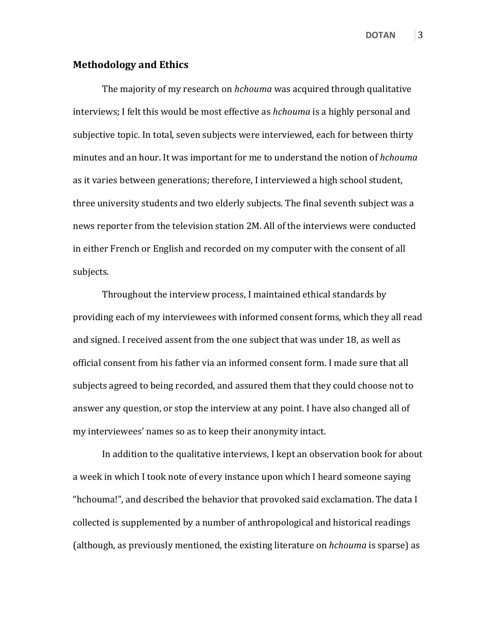#### Methodology and Ethics

The majority of my research on *hchouma* was acquired through qualitative interviews; I felt this would be most effective as *hchouma* is a highly personal and subjective topic. In total, seven subjects were interviewed, each for between thirty minutes and an hour. It was important for me to understand the notion of hchouma as it varies between generations; therefore, I interviewed a high school student, three university students and two elderly subjects. The final seventh subject was a news reporter from the television station 2M. All of the interviews were conducted in either French or English and recorded on my computer with the consent of all subjects.

 Throughout the interview process, I maintained ethical standards by providing each of my interviewees with informed consent forms, which they all read and signed. I received assent from the one subject that was under 18, as well as official consent from his father via an informed consent form. I made sure that all subjects agreed to being recorded, and assured them that they could choose not to answer any question, or stop the interview at any point. I have also changed all of my interviewees' names so as to keep their anonymity intact.

 In addition to the qualitative interviews, I kept an observation book for about a week in which I took note of every instance upon which I heard someone saying "hchouma!", and described the behavior that provoked said exclamation. The data I collected is supplemented by a number of anthropological and historical readings (although, as previously mentioned, the existing literature on *hchouma* is sparse) as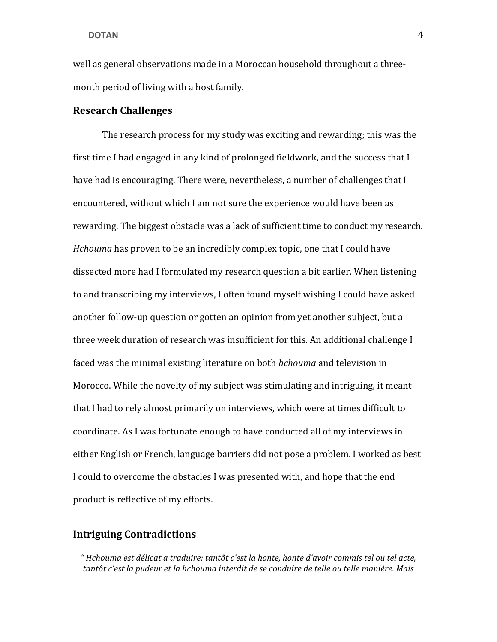well as general observations made in a Moroccan household throughout a threemonth period of living with a host family.

#### Research Challenges

 The research process for my study was exciting and rewarding; this was the first time I had engaged in any kind of prolonged fieldwork, and the success that I have had is encouraging. There were, nevertheless, a number of challenges that I encountered, without which I am not sure the experience would have been as rewarding. The biggest obstacle was a lack of sufficient time to conduct my research. Hchouma has proven to be an incredibly complex topic, one that I could have dissected more had I formulated my research question a bit earlier. When listening to and transcribing my interviews, I often found myself wishing I could have asked another follow-up question or gotten an opinion from yet another subject, but a three week duration of research was insufficient for this. An additional challenge I faced was the minimal existing literature on both hchouma and television in Morocco. While the novelty of my subject was stimulating and intriguing, it meant that I had to rely almost primarily on interviews, which were at times difficult to coordinate. As I was fortunate enough to have conducted all of my interviews in either English or French, language barriers did not pose a problem. I worked as best I could to overcome the obstacles I was presented with, and hope that the end product is reflective of my efforts.

#### Intriguing Contradictions

" Hchouma est délicat a traduire: tantôt c'est la honte, honte d'avoir commis tel ou tel acte, tantôt c'est la pudeur et la hchouma interdit de se conduire de telle ou telle manière. Mais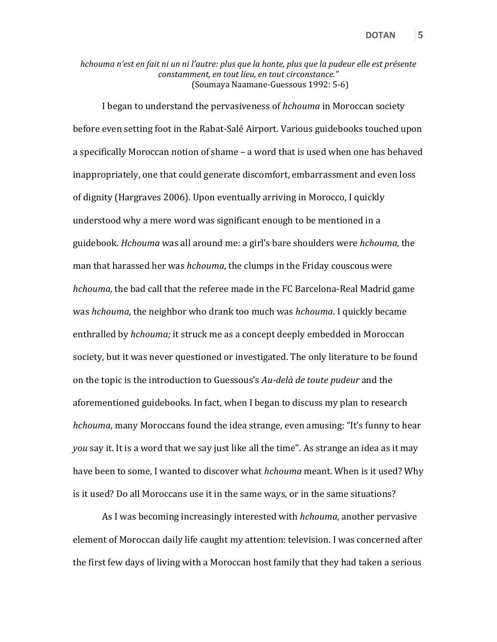hchouma n'est en fait ni un ni l'autre: plus que la honte, plus que la pudeur elle est présente constamment, en tout lieu, en tout circonstance." (Soumaya Naamane-Guessous 1992: 5-6)

I began to understand the pervasiveness of hchouma in Moroccan society before even setting foot in the Rabat-Salé Airport. Various guidebooks touched upon a specifically Moroccan notion of shame – a word that is used when one has behaved inappropriately, one that could generate discomfort, embarrassment and even loss of dignity (Hargraves 2006). Upon eventually arriving in Morocco, I quickly understood why a mere word was significant enough to be mentioned in a guidebook. Hchouma was all around me: a girl's bare shoulders were hchouma, the man that harassed her was *hchouma*, the clumps in the Friday couscous were hchouma, the bad call that the referee made in the FC Barcelona-Real Madrid game was hchouma, the neighbor who drank too much was hchouma. I quickly became enthralled by *hchouma;* it struck me as a concept deeply embedded in Moroccan society, but it was never questioned or investigated. The only literature to be found on the topic is the introduction to Guessous's Au-delà de toute pudeur and the aforementioned guidebooks. In fact, when I began to discuss my plan to research hchouma, many Moroccans found the idea strange, even amusing: "It's funny to hear you say it. It is a word that we say just like all the time". As strange an idea as it may have been to some, I wanted to discover what *hchouma* meant. When is it used? Why is it used? Do all Moroccans use it in the same ways, or in the same situations?

 As I was becoming increasingly interested with hchouma, another pervasive element of Moroccan daily life caught my attention: television. I was concerned after the first few days of living with a Moroccan host family that they had taken a serious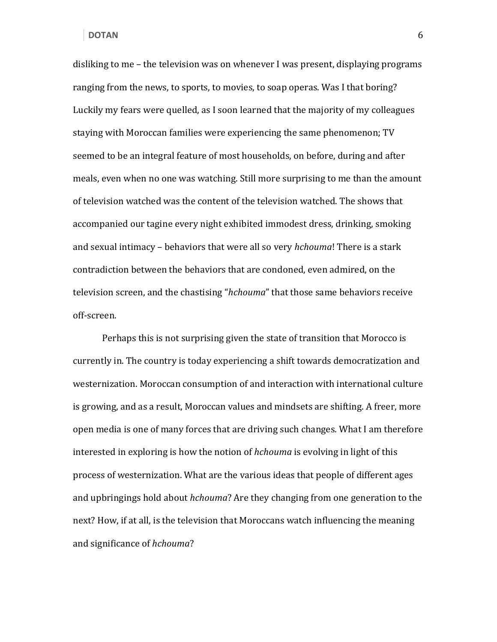disliking to me – the television was on whenever I was present, displaying programs ranging from the news, to sports, to movies, to soap operas. Was I that boring? Luckily my fears were quelled, as I soon learned that the majority of my colleagues staying with Moroccan families were experiencing the same phenomenon; TV seemed to be an integral feature of most households, on before, during and after meals, even when no one was watching. Still more surprising to me than the amount of television watched was the content of the television watched. The shows that accompanied our tagine every night exhibited immodest dress, drinking, smoking and sexual intimacy – behaviors that were all so very hchouma! There is a stark contradiction between the behaviors that are condoned, even admired, on the television screen, and the chastising "hchouma" that those same behaviors receive off-screen.

 Perhaps this is not surprising given the state of transition that Morocco is currently in. The country is today experiencing a shift towards democratization and westernization. Moroccan consumption of and interaction with international culture is growing, and as a result, Moroccan values and mindsets are shifting. A freer, more open media is one of many forces that are driving such changes. What I am therefore interested in exploring is how the notion of hchouma is evolving in light of this process of westernization. What are the various ideas that people of different ages and upbringings hold about *hchouma*? Are they changing from one generation to the next? How, if at all, is the television that Moroccans watch influencing the meaning and significance of hchouma?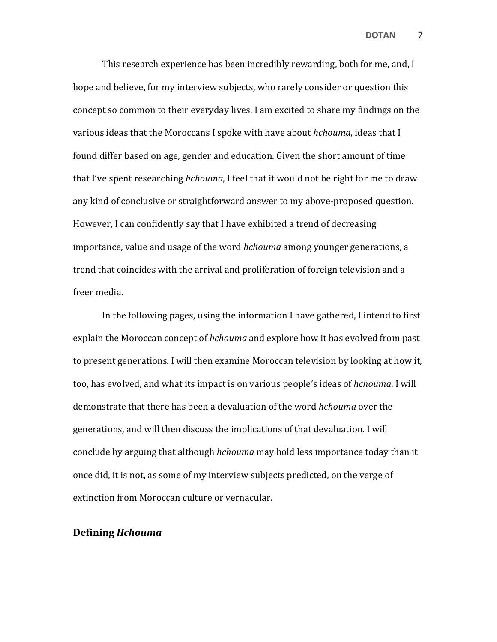This research experience has been incredibly rewarding, both for me, and, I hope and believe, for my interview subjects, who rarely consider or question this concept so common to their everyday lives. I am excited to share my findings on the various ideas that the Moroccans I spoke with have about hchouma, ideas that I found differ based on age, gender and education. Given the short amount of time that I've spent researching *hchouma*, I feel that it would not be right for me to draw any kind of conclusive or straightforward answer to my above-proposed question. However, I can confidently say that I have exhibited a trend of decreasing importance, value and usage of the word hchouma among younger generations, a trend that coincides with the arrival and proliferation of foreign television and a freer media.

In the following pages, using the information I have gathered, I intend to first explain the Moroccan concept of *hchouma* and explore how it has evolved from past to present generations. I will then examine Moroccan television by looking at how it, too, has evolved, and what its impact is on various people's ideas of hchouma. I will demonstrate that there has been a devaluation of the word hchouma over the generations, and will then discuss the implications of that devaluation. I will conclude by arguing that although hchouma may hold less importance today than it once did, it is not, as some of my interview subjects predicted, on the verge of extinction from Moroccan culture or vernacular.

#### Defining Hchouma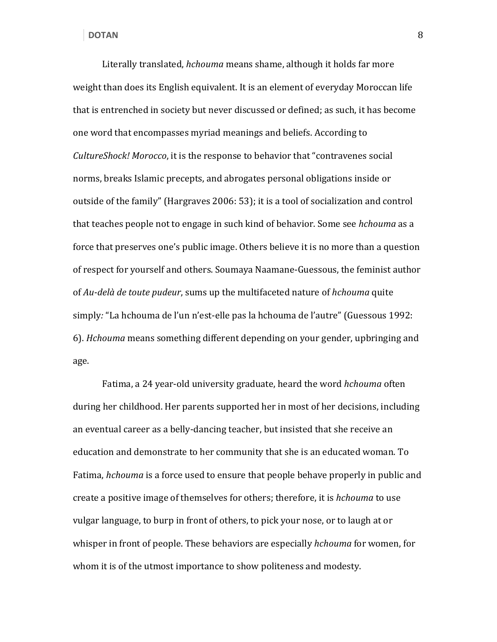Literally translated, hchouma means shame, although it holds far more weight than does its English equivalent. It is an element of everyday Moroccan life that is entrenched in society but never discussed or defined; as such, it has become one word that encompasses myriad meanings and beliefs. According to CultureShock! Morocco, it is the response to behavior that "contravenes social norms, breaks Islamic precepts, and abrogates personal obligations inside or outside of the family" (Hargraves 2006: 53); it is a tool of socialization and control that teaches people not to engage in such kind of behavior. Some see *hchouma* as a force that preserves one's public image. Others believe it is no more than a question of respect for yourself and others. Soumaya Naamane-Guessous, the feminist author of Au-delà de toute pudeur, sums up the multifaceted nature of hchouma quite simply: "La hchouma de l'un n'est-elle pas la hchouma de l'autre" (Guessous 1992: 6). Hchouma means something different depending on your gender, upbringing and age.

 Fatima, a 24 year-old university graduate, heard the word hchouma often during her childhood. Her parents supported her in most of her decisions, including an eventual career as a belly-dancing teacher, but insisted that she receive an education and demonstrate to her community that she is an educated woman. To Fatima, hchouma is a force used to ensure that people behave properly in public and create a positive image of themselves for others; therefore, it is hchouma to use vulgar language, to burp in front of others, to pick your nose, or to laugh at or whisper in front of people. These behaviors are especially *hchouma* for women, for whom it is of the utmost importance to show politeness and modesty.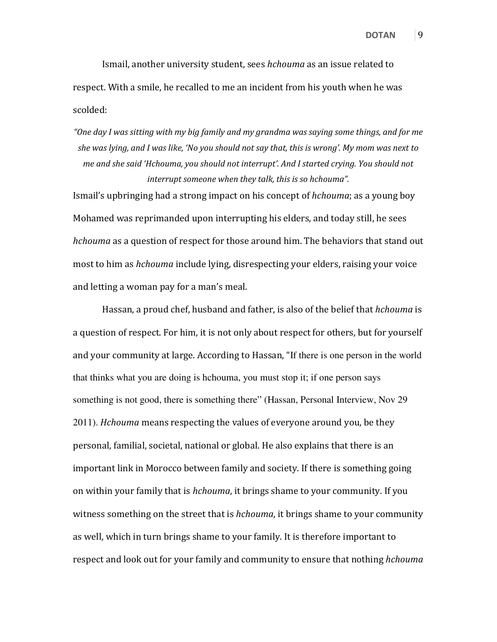Ismail, another university student, sees hchouma as an issue related to respect. With a smile, he recalled to me an incident from his youth when he was scolded:

"One day I was sitting with my big family and my grandma was saying some things, and for me she was lying, and I was like, 'No you should not say that, this is wrong'. My mom was next to me and she said 'Hchouma, you should not interrupt'. And I started crying. You should not interrupt someone when they talk, this is so hchouma".

Ismail's upbringing had a strong impact on his concept of hchouma; as a young boy Mohamed was reprimanded upon interrupting his elders, and today still, he sees hchouma as a question of respect for those around him. The behaviors that stand out most to him as hchouma include lying, disrespecting your elders, raising your voice and letting a woman pay for a man's meal.

Hassan, a proud chef, husband and father, is also of the belief that hchouma is a question of respect. For him, it is not only about respect for others, but for yourself and your community at large. According to Hassan, "If there is one person in the world that thinks what you are doing is hchouma, you must stop it; if one person says something is not good, there is something there" (Hassan, Personal Interview, Nov 29 2011). Hchouma means respecting the values of everyone around you, be they personal, familial, societal, national or global. He also explains that there is an important link in Morocco between family and society. If there is something going on within your family that is hchouma, it brings shame to your community. If you witness something on the street that is *hchouma*, it brings shame to your community as well, which in turn brings shame to your family. It is therefore important to respect and look out for your family and community to ensure that nothing *hchouma*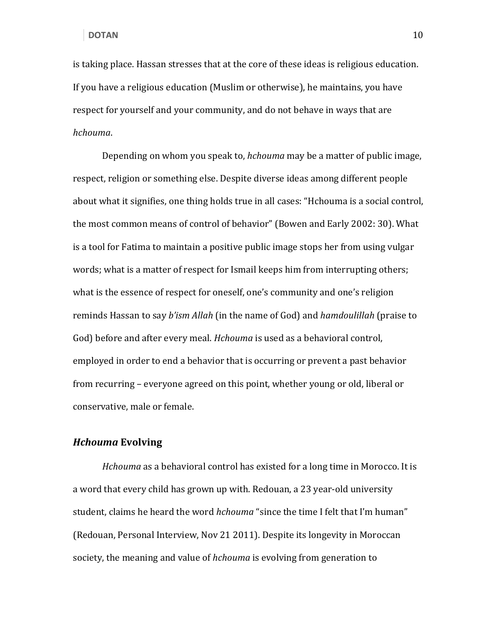is taking place. Hassan stresses that at the core of these ideas is religious education. If you have a religious education (Muslim or otherwise), he maintains, you have respect for yourself and your community, and do not behave in ways that are hchouma.

Depending on whom you speak to, hchouma may be a matter of public image, respect, religion or something else. Despite diverse ideas among different people about what it signifies, one thing holds true in all cases: "Hchouma is a social control, the most common means of control of behavior" (Bowen and Early 2002: 30). What is a tool for Fatima to maintain a positive public image stops her from using vulgar words; what is a matter of respect for Ismail keeps him from interrupting others; what is the essence of respect for oneself, one's community and one's religion reminds Hassan to say *b'ism Allah* (in the name of God) and *hamdoulillah* (praise to God) before and after every meal. Hchouma is used as a behavioral control, employed in order to end a behavior that is occurring or prevent a past behavior from recurring – everyone agreed on this point, whether young or old, liberal or conservative, male or female.

#### Hchouma Evolving

Hchouma as a behavioral control has existed for a long time in Morocco. It is a word that every child has grown up with. Redouan, a 23 year-old university student, claims he heard the word *hchouma* "since the time I felt that I'm human" (Redouan, Personal Interview, Nov 21 2011). Despite its longevity in Moroccan society, the meaning and value of *hchouma* is evolving from generation to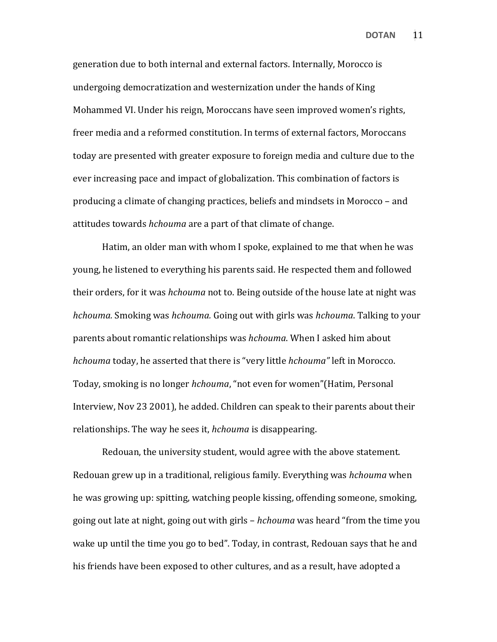generation due to both internal and external factors. Internally, Morocco is undergoing democratization and westernization under the hands of King Mohammed VI. Under his reign, Moroccans have seen improved women's rights, freer media and a reformed constitution. In terms of external factors, Moroccans today are presented with greater exposure to foreign media and culture due to the ever increasing pace and impact of globalization. This combination of factors is producing a climate of changing practices, beliefs and mindsets in Morocco – and attitudes towards hchouma are a part of that climate of change.

 Hatim, an older man with whom I spoke, explained to me that when he was young, he listened to everything his parents said. He respected them and followed their orders, for it was hchouma not to. Being outside of the house late at night was hchouma. Smoking was hchouma. Going out with girls was hchouma. Talking to your parents about romantic relationships was hchouma. When I asked him about hchouma today, he asserted that there is "very little hchouma" left in Morocco. Today, smoking is no longer hchouma, "not even for women"(Hatim, Personal Interview, Nov 23 2001), he added. Children can speak to their parents about their relationships. The way he sees it, *hchouma* is disappearing.

 Redouan, the university student, would agree with the above statement. Redouan grew up in a traditional, religious family. Everything was hchouma when he was growing up: spitting, watching people kissing, offending someone, smoking, going out late at night, going out with girls – *hchouma* was heard "from the time you wake up until the time you go to bed". Today, in contrast, Redouan says that he and his friends have been exposed to other cultures, and as a result, have adopted a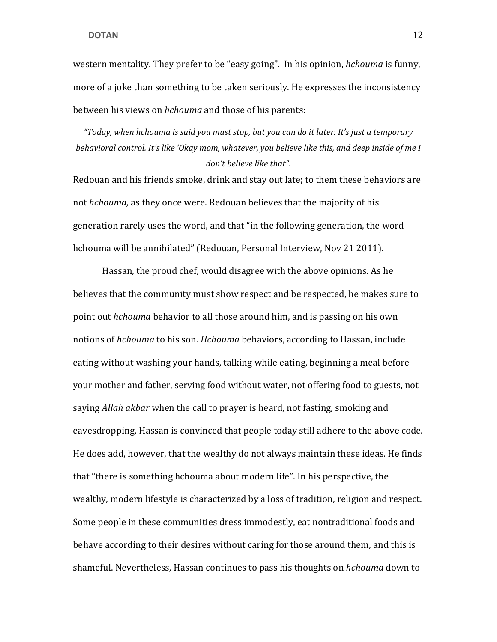western mentality. They prefer to be "easy going". In his opinion, *hchouma* is funny, more of a joke than something to be taken seriously. He expresses the inconsistency between his views on hchouma and those of his parents:

"Today, when hchouma is said you must stop, but you can do it later. It's just a temporary behavioral control. It's like 'Okay mom, whatever, you believe like this, and deep inside of me I don't believe like that".

Redouan and his friends smoke, drink and stay out late; to them these behaviors are not *hchouma*, as they once were. Redouan believes that the majority of his generation rarely uses the word, and that "in the following generation, the word hchouma will be annihilated" (Redouan, Personal Interview, Nov 21 2011).

 Hassan, the proud chef, would disagree with the above opinions. As he believes that the community must show respect and be respected, he makes sure to point out hchouma behavior to all those around him, and is passing on his own notions of *hchouma* to his son. *Hchouma* behaviors, according to Hassan, include eating without washing your hands, talking while eating, beginning a meal before your mother and father, serving food without water, not offering food to guests, not saying Allah akbar when the call to prayer is heard, not fasting, smoking and eavesdropping. Hassan is convinced that people today still adhere to the above code. He does add, however, that the wealthy do not always maintain these ideas. He finds that "there is something hchouma about modern life". In his perspective, the wealthy, modern lifestyle is characterized by a loss of tradition, religion and respect. Some people in these communities dress immodestly, eat nontraditional foods and behave according to their desires without caring for those around them, and this is shameful. Nevertheless, Hassan continues to pass his thoughts on hchouma down to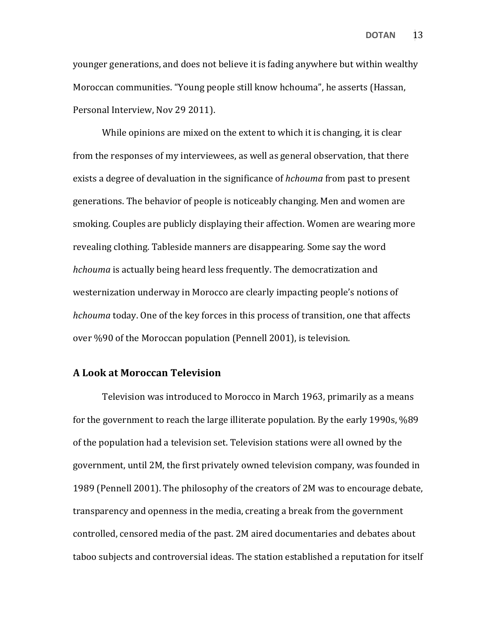younger generations, and does not believe it is fading anywhere but within wealthy Moroccan communities. "Young people still know hchouma", he asserts (Hassan, Personal Interview, Nov 29 2011).

 While opinions are mixed on the extent to which it is changing, it is clear from the responses of my interviewees, as well as general observation, that there exists a degree of devaluation in the significance of hchouma from past to present generations. The behavior of people is noticeably changing. Men and women are smoking. Couples are publicly displaying their affection. Women are wearing more revealing clothing. Tableside manners are disappearing. Some say the word hchouma is actually being heard less frequently. The democratization and westernization underway in Morocco are clearly impacting people's notions of hchouma today. One of the key forces in this process of transition, one that affects over %90 of the Moroccan population (Pennell 2001), is television.

#### A Look at Moroccan Television

 Television was introduced to Morocco in March 1963, primarily as a means for the government to reach the large illiterate population. By the early 1990s, %89 of the population had a television set. Television stations were all owned by the government, until 2M, the first privately owned television company, was founded in 1989 (Pennell 2001). The philosophy of the creators of 2M was to encourage debate, transparency and openness in the media, creating a break from the government controlled, censored media of the past. 2M aired documentaries and debates about taboo subjects and controversial ideas. The station established a reputation for itself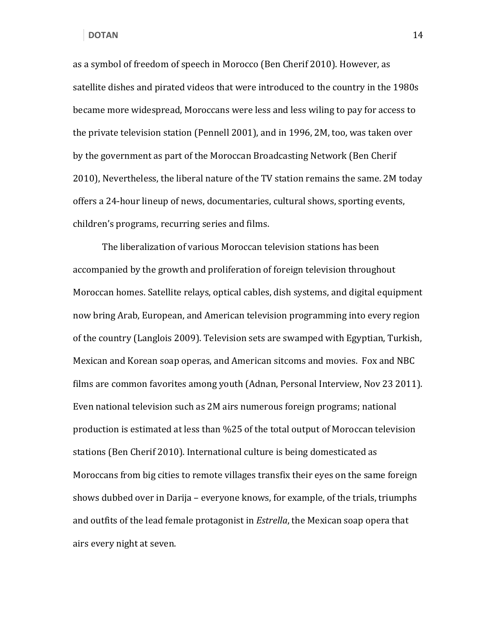as a symbol of freedom of speech in Morocco (Ben Cherif 2010). However, as satellite dishes and pirated videos that were introduced to the country in the 1980s became more widespread, Moroccans were less and less wiling to pay for access to the private television station (Pennell 2001), and in 1996, 2M, too, was taken over by the government as part of the Moroccan Broadcasting Network (Ben Cherif 2010), Nevertheless, the liberal nature of the TV station remains the same. 2M today offers a 24-hour lineup of news, documentaries, cultural shows, sporting events, children's programs, recurring series and films.

 The liberalization of various Moroccan television stations has been accompanied by the growth and proliferation of foreign television throughout Moroccan homes. Satellite relays, optical cables, dish systems, and digital equipment now bring Arab, European, and American television programming into every region of the country (Langlois 2009). Television sets are swamped with Egyptian, Turkish, Mexican and Korean soap operas, and American sitcoms and movies. Fox and NBC films are common favorites among youth (Adnan, Personal Interview, Nov 23 2011). Even national television such as 2M airs numerous foreign programs; national production is estimated at less than %25 of the total output of Moroccan television stations (Ben Cherif 2010). International culture is being domesticated as Moroccans from big cities to remote villages transfix their eyes on the same foreign shows dubbed over in Darija – everyone knows, for example, of the trials, triumphs and outfits of the lead female protagonist in *Estrella*, the Mexican soap opera that airs every night at seven.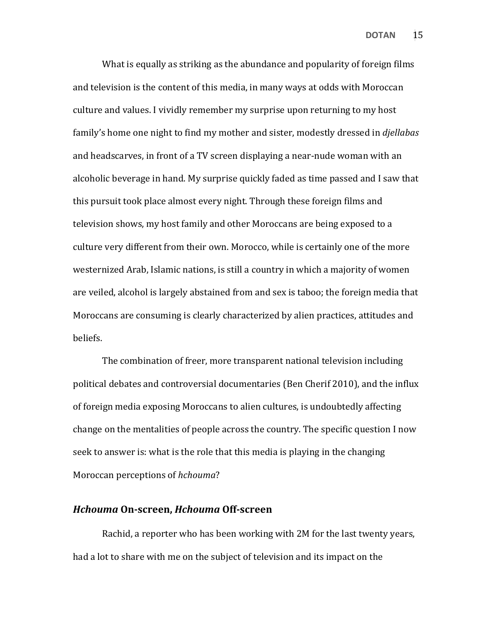What is equally as striking as the abundance and popularity of foreign films and television is the content of this media, in many ways at odds with Moroccan culture and values. I vividly remember my surprise upon returning to my host family's home one night to find my mother and sister, modestly dressed in *djellabas* and headscarves, in front of a TV screen displaying a near-nude woman with an alcoholic beverage in hand. My surprise quickly faded as time passed and I saw that this pursuit took place almost every night. Through these foreign films and television shows, my host family and other Moroccans are being exposed to a culture very different from their own. Morocco, while is certainly one of the more westernized Arab, Islamic nations, is still a country in which a majority of women are veiled, alcohol is largely abstained from and sex is taboo; the foreign media that Moroccans are consuming is clearly characterized by alien practices, attitudes and beliefs.

 The combination of freer, more transparent national television including political debates and controversial documentaries (Ben Cherif 2010), and the influx of foreign media exposing Moroccans to alien cultures, is undoubtedly affecting change on the mentalities of people across the country. The specific question I now seek to answer is: what is the role that this media is playing in the changing Moroccan perceptions of hchouma?

#### Hchouma On-screen, Hchouma Off-screen

 Rachid, a reporter who has been working with 2M for the last twenty years, had a lot to share with me on the subject of television and its impact on the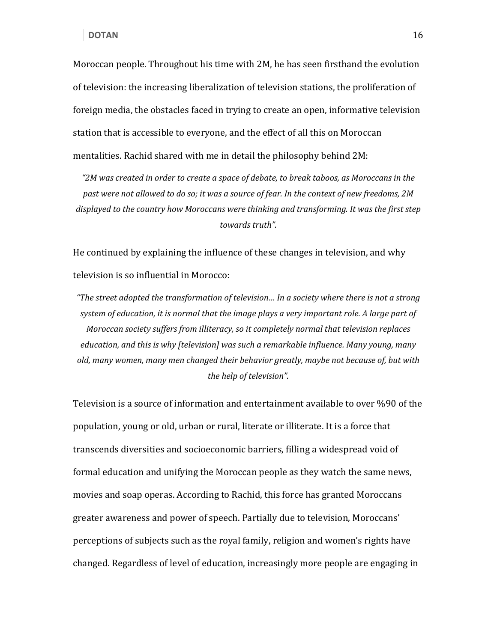Moroccan people. Throughout his time with 2M, he has seen firsthand the evolution of television: the increasing liberalization of television stations, the proliferation of foreign media, the obstacles faced in trying to create an open, informative television station that is accessible to everyone, and the effect of all this on Moroccan mentalities. Rachid shared with me in detail the philosophy behind 2M:

"2M was created in order to create a space of debate, to break taboos, as Moroccans in the past were not allowed to do so; it was a source of fear. In the context of new freedoms, 2M displayed to the country how Moroccans were thinking and transforming. It was the first step towards truth".

He continued by explaining the influence of these changes in television, and why television is so influential in Morocco:

"The street adopted the transformation of television… In a society where there is not a strong system of education, it is normal that the image plays a very important role. A large part of Moroccan society suffers from illiteracy, so it completely normal that television replaces education, and this is why [television] was such a remarkable influence. Many young, many old, many women, many men changed their behavior greatly, maybe not because of, but with the help of television".

Television is a source of information and entertainment available to over %90 of the population, young or old, urban or rural, literate or illiterate. It is a force that transcends diversities and socioeconomic barriers, filling a widespread void of formal education and unifying the Moroccan people as they watch the same news, movies and soap operas. According to Rachid, this force has granted Moroccans greater awareness and power of speech. Partially due to television, Moroccans' perceptions of subjects such as the royal family, religion and women's rights have changed. Regardless of level of education, increasingly more people are engaging in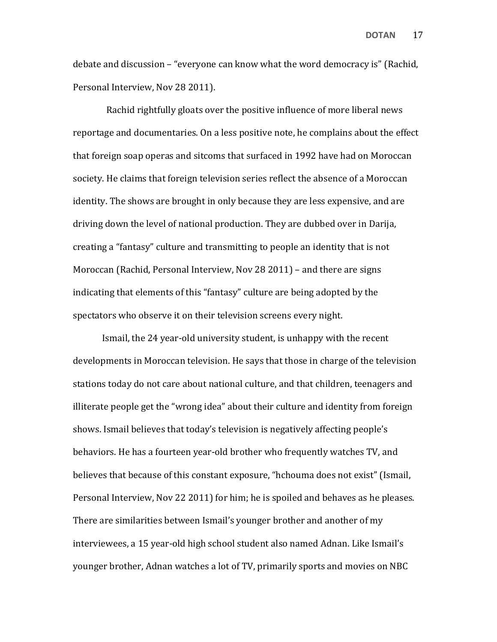debate and discussion – "everyone can know what the word democracy is" (Rachid, Personal Interview, Nov 28 2011).

 Rachid rightfully gloats over the positive influence of more liberal news reportage and documentaries. On a less positive note, he complains about the effect that foreign soap operas and sitcoms that surfaced in 1992 have had on Moroccan society. He claims that foreign television series reflect the absence of a Moroccan identity. The shows are brought in only because they are less expensive, and are driving down the level of national production. They are dubbed over in Darija, creating a "fantasy" culture and transmitting to people an identity that is not Moroccan (Rachid, Personal Interview, Nov 28 2011) – and there are signs indicating that elements of this "fantasy" culture are being adopted by the spectators who observe it on their television screens every night.

 Ismail, the 24 year-old university student, is unhappy with the recent developments in Moroccan television. He says that those in charge of the television stations today do not care about national culture, and that children, teenagers and illiterate people get the "wrong idea" about their culture and identity from foreign shows. Ismail believes that today's television is negatively affecting people's behaviors. He has a fourteen year-old brother who frequently watches TV, and believes that because of this constant exposure, "hchouma does not exist" (Ismail, Personal Interview, Nov 22 2011) for him; he is spoiled and behaves as he pleases. There are similarities between Ismail's younger brother and another of my interviewees, a 15 year-old high school student also named Adnan. Like Ismail's younger brother, Adnan watches a lot of TV, primarily sports and movies on NBC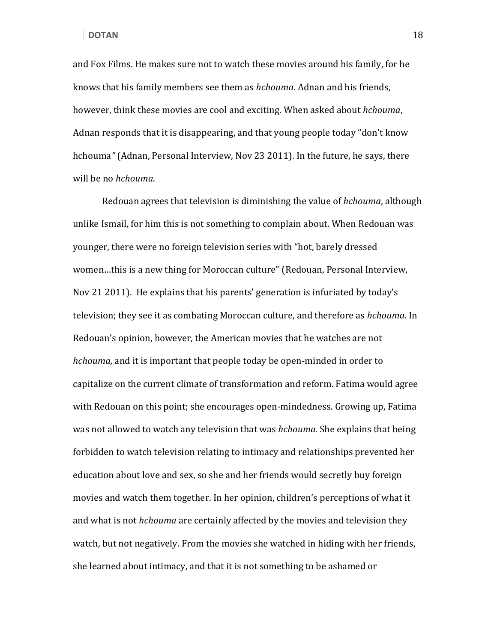and Fox Films. He makes sure not to watch these movies around his family, for he knows that his family members see them as hchouma. Adnan and his friends, however, think these movies are cool and exciting. When asked about hchouma, Adnan responds that it is disappearing, and that young people today "don't know hchouma" (Adnan, Personal Interview, Nov 23 2011). In the future, he says, there will be no hchouma.

Redouan agrees that television is diminishing the value of hchouma, although unlike Ismail, for him this is not something to complain about. When Redouan was younger, there were no foreign television series with "hot, barely dressed women…this is a new thing for Moroccan culture" (Redouan, Personal Interview, Nov 21 2011). He explains that his parents' generation is infuriated by today's television; they see it as combating Moroccan culture, and therefore as *hchouma*. In Redouan's opinion, however, the American movies that he watches are not hchouma, and it is important that people today be open-minded in order to capitalize on the current climate of transformation and reform. Fatima would agree with Redouan on this point; she encourages open-mindedness. Growing up, Fatima was not allowed to watch any television that was *hchouma*. She explains that being forbidden to watch television relating to intimacy and relationships prevented her education about love and sex, so she and her friends would secretly buy foreign movies and watch them together. In her opinion, children's perceptions of what it and what is not *hchouma* are certainly affected by the movies and television they watch, but not negatively. From the movies she watched in hiding with her friends, she learned about intimacy, and that it is not something to be ashamed or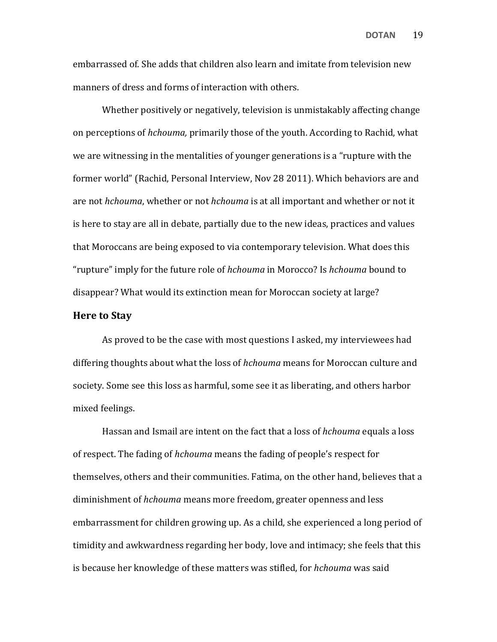embarrassed of. She adds that children also learn and imitate from television new manners of dress and forms of interaction with others.

 Whether positively or negatively, television is unmistakably affecting change on perceptions of hchouma, primarily those of the youth. According to Rachid, what we are witnessing in the mentalities of younger generations is a "rupture with the former world" (Rachid, Personal Interview, Nov 28 2011). Which behaviors are and are not *hchouma*, whether or not *hchouma* is at all important and whether or not it is here to stay are all in debate, partially due to the new ideas, practices and values that Moroccans are being exposed to via contemporary television. What does this "rupture" imply for the future role of hchouma in Morocco? Is hchouma bound to disappear? What would its extinction mean for Moroccan society at large?

#### Here to Stay

 As proved to be the case with most questions I asked, my interviewees had differing thoughts about what the loss of hchouma means for Moroccan culture and society. Some see this loss as harmful, some see it as liberating, and others harbor mixed feelings.

Hassan and Ismail are intent on the fact that a loss of hchouma equals a loss of respect. The fading of hchouma means the fading of people's respect for themselves, others and their communities. Fatima, on the other hand, believes that a diminishment of hchouma means more freedom, greater openness and less embarrassment for children growing up. As a child, she experienced a long period of timidity and awkwardness regarding her body, love and intimacy; she feels that this is because her knowledge of these matters was stifled, for hchouma was said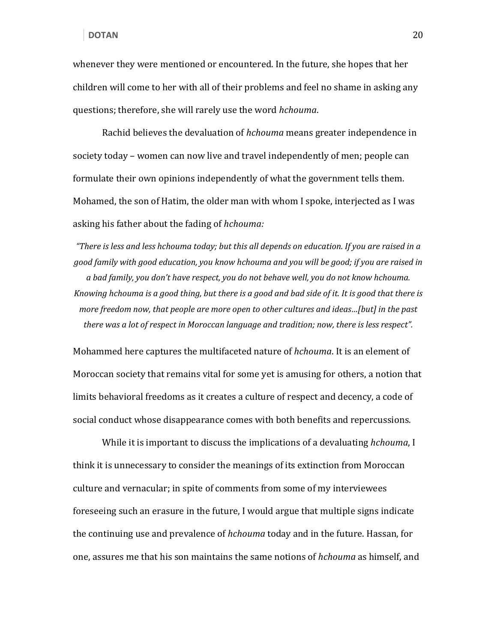whenever they were mentioned or encountered. In the future, she hopes that her children will come to her with all of their problems and feel no shame in asking any questions; therefore, she will rarely use the word hchouma.

Rachid believes the devaluation of hchouma means greater independence in society today – women can now live and travel independently of men; people can formulate their own opinions independently of what the government tells them. Mohamed, the son of Hatim, the older man with whom I spoke, interjected as I was asking his father about the fading of hchouma:

"There is less and less hchouma today; but this all depends on education. If you are raised in a good family with good education, you know hchouma and you will be good; if you are raised in a bad family, you don't have respect, you do not behave well, you do not know hchouma. Knowing hchouma is a good thing, but there is a good and bad side of it. It is good that there is more freedom now, that people are more open to other cultures and ideas…[but] in the past there was a lot of respect in Moroccan language and tradition; now, there is less respect".

Mohammed here captures the multifaceted nature of hchouma. It is an element of Moroccan society that remains vital for some yet is amusing for others, a notion that limits behavioral freedoms as it creates a culture of respect and decency, a code of social conduct whose disappearance comes with both benefits and repercussions.

While it is important to discuss the implications of a devaluating *hchouma*, I think it is unnecessary to consider the meanings of its extinction from Moroccan culture and vernacular; in spite of comments from some of my interviewees foreseeing such an erasure in the future, I would argue that multiple signs indicate the continuing use and prevalence of *hchouma* today and in the future. Hassan, for one, assures me that his son maintains the same notions of hchouma as himself, and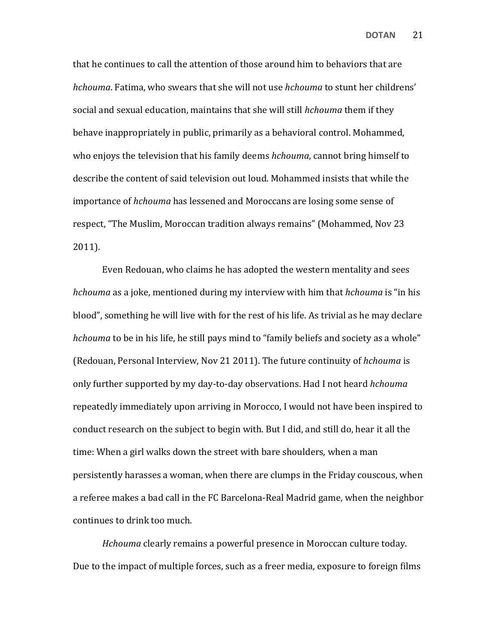that he continues to call the attention of those around him to behaviors that are hchouma. Fatima, who swears that she will not use hchouma to stunt her childrens' social and sexual education, maintains that she will still hchouma them if they behave inappropriately in public, primarily as a behavioral control. Mohammed, who enjoys the television that his family deems *hchouma*, cannot bring himself to describe the content of said television out loud. Mohammed insists that while the importance of hchouma has lessened and Moroccans are losing some sense of respect, "The Muslim, Moroccan tradition always remains" (Mohammed, Nov 23 2011).

Even Redouan, who claims he has adopted the western mentality and sees hchouma as a joke, mentioned during my interview with him that hchouma is "in his blood", something he will live with for the rest of his life. As trivial as he may declare hchouma to be in his life, he still pays mind to "family beliefs and society as a whole" (Redouan, Personal Interview, Nov 21 2011). The future continuity of hchouma is only further supported by my day-to-day observations. Had I not heard *hchouma* repeatedly immediately upon arriving in Morocco, I would not have been inspired to conduct research on the subject to begin with. But I did, and still do, hear it all the time: When a girl walks down the street with bare shoulders, when a man persistently harasses a woman, when there are clumps in the Friday couscous, when a referee makes a bad call in the FC Barcelona-Real Madrid game, when the neighbor continues to drink too much.

Hchouma clearly remains a powerful presence in Moroccan culture today. Due to the impact of multiple forces, such as a freer media, exposure to foreign films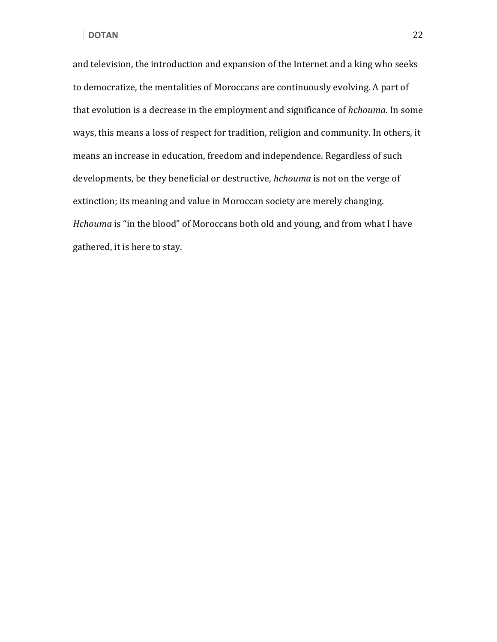and television, the introduction and expansion of the Internet and a king who seeks to democratize, the mentalities of Moroccans are continuously evolving. A part of that evolution is a decrease in the employment and significance of hchouma. In some ways, this means a loss of respect for tradition, religion and community. In others, it means an increase in education, freedom and independence. Regardless of such developments, be they beneficial or destructive, hchouma is not on the verge of extinction; its meaning and value in Moroccan society are merely changing. Hchouma is "in the blood" of Moroccans both old and young, and from what I have gathered, it is here to stay.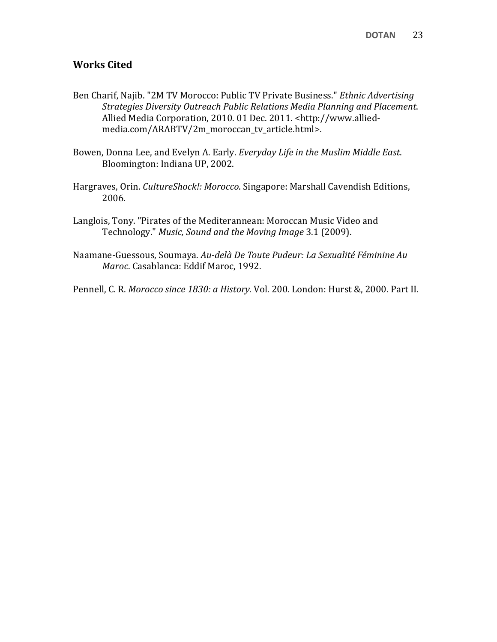### Works Cited

- Ben Charif, Najib. "2M TV Morocco: Public TV Private Business." Ethnic Advertising Strategies Diversity Outreach Public Relations Media Planning and Placement. Allied Media Corporation, 2010. 01 Dec. 2011. <http://www.alliedmedia.com/ARABTV/2m\_moroccan\_tv\_article.html>.
- Bowen, Donna Lee, and Evelyn A. Early. Everyday Life in the Muslim Middle East. Bloomington: Indiana UP, 2002.
- Hargraves, Orin. CultureShock!: Morocco. Singapore: Marshall Cavendish Editions, 2006.
- Langlois, Tony. "Pirates of the Mediterannean: Moroccan Music Video and Technology." Music, Sound and the Moving Image 3.1 (2009).
- Naamane-Guessous, Soumaya. Au-delà De Toute Pudeur: La Sexualité Féminine Au Maroc. Casablanca: Eddif Maroc, 1992.

Pennell, C. R. Morocco since 1830: a History. Vol. 200. London: Hurst &, 2000. Part II.